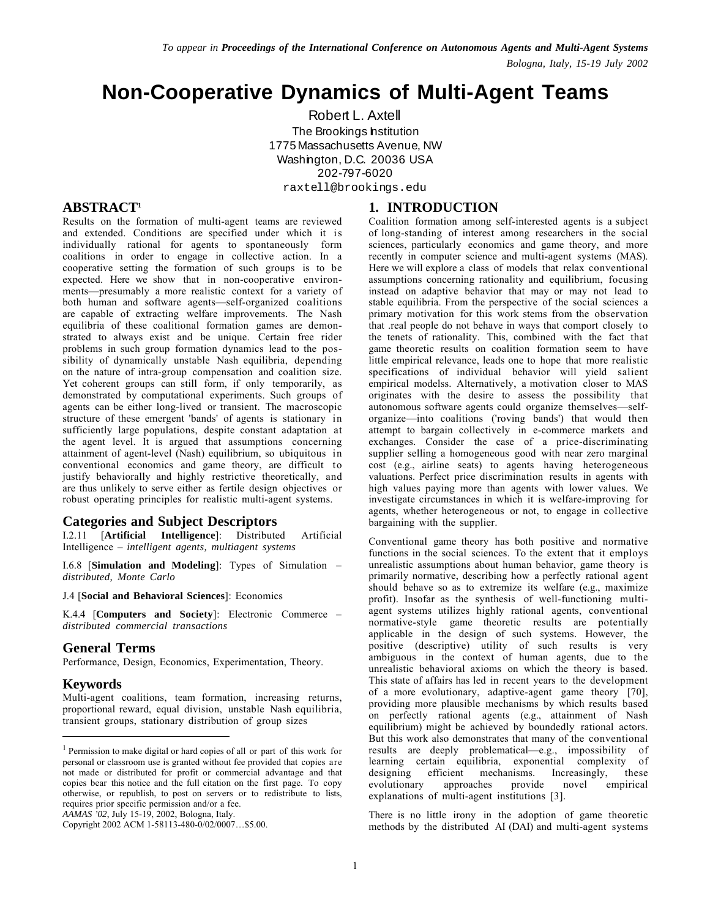# **Non-Cooperative Dynamics of Multi-Agent Teams**

Robert L. Axtell The Brookings hatitution 1775 Massachusetts Avenue, NW Washington, D.C. 20036 USA 202-797-6020 raxtell@brookings.edu

# **ABSTRACT1**

Results on the formation of multi-agent teams are reviewed and extended. Conditions are specified under which it is individually rational for agents to spontaneously form coalitions in order to engage in collective action. In a cooperative setting the formation of such groups is to be expected. Here we show that in non-cooperative environments—presumably a more realistic context for a variety of both human and software agents—self-organized coalitions are capable of extracting welfare improvements. The Nash equilibria of these coalitional formation games are demonstrated to always exist and be unique. Certain free rider problems in such group formation dynamics lead to the possibility of dynamically unstable Nash equilibria, depending on the nature of intra-group compensation and coalition size. Yet coherent groups can still form, if only temporarily, as demonstrated by computational experiments. Such groups of agents can be either long-lived or transient. The macroscopic structure of these emergent 'bands' of agents is stationary in sufficiently large populations, despite constant adaptation at the agent level. It is argued that assumptions concerning attainment of agent-level (Nash) equilibrium, so ubiquitous in conventional economics and game theory, are difficult to justify behaviorally and highly restrictive theoretically, and are thus unlikely to serve either as fertile design objectives or robust operating principles for realistic multi-agent systems.

## **Categories and Subject Descriptors**

I.2.11 [**Artificial Intelligence**]: Distributed Artificial Intelligence – *intelligent agents, multiagent systems*

I.6.8 [**Simulation and Modeling**]: Types of Simulation – *distributed, Monte Carlo*

J.4 [**Social and Behavioral Sciences**]: Economics

K.4.4 [**Computers and Society**]: Electronic Commerce – *distributed commercial transactions*

## **General Terms**

Performance, Design, Economics, Experimentation, Theory.

## **Keywords**

 $\overline{a}$ 

Multi-agent coalitions, team formation, increasing returns, proportional reward, equal division, unstable Nash equilibria, transient groups, stationary distribution of group sizes

*AAMAS '02*, July 15-19, 2002, Bologna, Italy.

# **1. INTRODUCTION**

Coalition formation among self-interested agents is a subject of long-standing of interest among researchers in the social sciences, particularly economics and game theory, and more recently in computer science and multi-agent systems (MAS). Here we will explore a class of models that relax conventional assumptions concerning rationality and equilibrium, focusing instead on adaptive behavior that may or may not lead to stable equilibria. From the perspective of the social sciences a primary motivation for this work stems from the observation that .real people do not behave in ways that comport closely to the tenets of rationality. This, combined with the fact that game theoretic results on coalition formation seem to have little empirical relevance, leads one to hope that more realistic specifications of individual behavior will yield salient empirical modelss. Alternatively, a motivation closer to MAS originates with the desire to assess the possibility that autonomous software agents could organize themselves—selforganize—into coalitions ('roving bands') that would then attempt to bargain collectively in e-commerce markets and exchanges. Consider the case of a price-discriminating supplier selling a homogeneous good with near zero marginal cost (e.g., airline seats) to agents having heterogeneous valuations. Perfect price discrimination results in agents with high values paying more than agents with lower values. We investigate circumstances in which it is welfare-improving for agents, whether heterogeneous or not, to engage in collective bargaining with the supplier.

Conventional game theory has both positive and normative functions in the social sciences. To the extent that it employs unrealistic assumptions about human behavior, game theory is primarily normative, describing how a perfectly rational agent should behave so as to extremize its welfare (e.g., maximize profit). Insofar as the synthesis of well-functioning multiagent systems utilizes highly rational agents, conventional normative-style game theoretic results are potentially applicable in the design of such systems. However, the positive (descriptive) utility of such results is very ambiguous in the context of human agents, due to the unrealistic behavioral axioms on which the theory is based. This state of affairs has led in recent years to the development of a more evolutionary, adaptive-agent game theory [70], providing more plausible mechanisms by which results based on perfectly rational agents (e.g., attainment of Nash equilibrium) might be achieved by boundedly rational actors. But this work also demonstrates that many of the conventional results are deeply problematical—e.g., impossibility of learning certain equilibria, exponential complexity of designing efficient mechanisms. Increasingly, these designing efficient mechanisms. Increasingly, these evolutionary approaches provide novel empirical evolutionary approaches provide novel empirical explanations of multi-agent institutions [3].

There is no little irony in the adoption of game theoretic methods by the distributed AI (DAI) and multi-agent systems

<sup>1</sup> Permission to make digital or hard copies of all or part of this work for personal or classroom use is granted without fee provided that copies are not made or distributed for profit or commercial advantage and that copies bear this notice and the full citation on the first page. To copy otherwise, or republish, to post on servers or to redistribute to lists, requires prior specific permission and/or a fee.

Copyright 2002 ACM 1-58113-480-0/02/0007…\$5.00.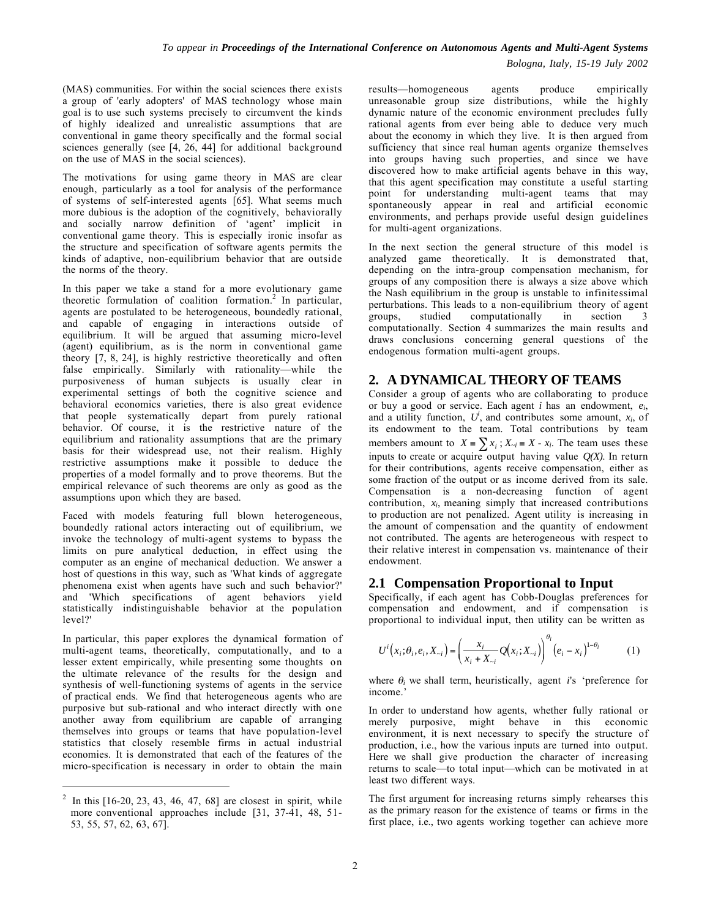*Bologna, Italy, 15-19 July 2002*

(MAS) communities. For within the social sciences there exists a group of 'early adopters' of MAS technology whose main goal is to use such systems precisely to circumvent the kinds of highly idealized and unrealistic assumptions that are conventional in game theory specifically and the formal social sciences generally (see [4, 26, 44] for additional background on the use of MAS in the social sciences).

The motivations for using game theory in MAS are clear enough, particularly as a tool for analysis of the performance of systems of self-interested agents [65]. What seems much more dubious is the adoption of the cognitively, behaviorally and socially narrow definition of 'agent' implicit in conventional game theory. This is especially ironic insofar as the structure and specification of software agents permits the kinds of adaptive, non-equilibrium behavior that are outside the norms of the theory.

In this paper we take a stand for a more evolutionary game theoretic formulation of coalition formation.<sup>2</sup> In particular, agents are postulated to be heterogeneous, boundedly rational, and capable of engaging in interactions outside of equilibrium. It will be argued that assuming micro-level (agent) equilibrium, as is the norm in conventional game theory [7, 8, 24], is highly restrictive theoretically and often false empirically. Similarly with rationality—while the purposiveness of human subjects is usually clear in experimental settings of both the cognitive science and behavioral economics varieties, there is also great evidence that people systematically depart from purely rational behavior. Of course, it is the restrictive nature of the equilibrium and rationality assumptions that are the primary basis for their widespread use, not their realism. Highly restrictive assumptions make it possible to deduce the properties of a model formally and to prove theorems. But the empirical relevance of such theorems are only as good as the assumptions upon which they are based.

Faced with models featuring full blown heterogeneous, boundedly rational actors interacting out of equilibrium, we invoke the technology of multi-agent systems to bypass the limits on pure analytical deduction, in effect using the computer as an engine of mechanical deduction. We answer a host of questions in this way, such as 'What kinds of aggregate phenomena exist when agents have such and such behavior?' and 'Which specifications of agent behaviors yield statistically indistinguishable behavior at the population level?'

In particular, this paper explores the dynamical formation of multi-agent teams, theoretically, computationally, and to a lesser extent empirically, while presenting some thoughts on the ultimate relevance of the results for the design and synthesis of well-functioning systems of agents in the service of practical ends. We find that heterogeneous agents who are purposive but sub-rational and who interact directly with one another away from equilibrium are capable of arranging themselves into groups or teams that have population-level statistics that closely resemble firms in actual industrial economies. It is demonstrated that each of the features of the micro-specification is necessary in order to obtain the main

 $\overline{a}$ 

results—homogeneous agents produce empirically unreasonable group size distributions, while the highly dynamic nature of the economic environment precludes fully rational agents from ever being able to deduce very much about the economy in which they live. It is then argued from sufficiency that since real human agents organize themselves into groups having such properties, and since we have discovered how to make artificial agents behave in this way, that this agent specification may constitute a useful starting point for understanding multi-agent teams that may spontaneously appear in real and artificial economic environments, and perhaps provide useful design guidelines for multi-agent organizations.

In the next section the general structure of this model is analyzed game theoretically. It is demonstrated that, depending on the intra-group compensation mechanism, for groups of any composition there is always a size above which the Nash equilibrium in the group is unstable to infinitessimal perturbations. This leads to a non-equilibrium theory of agent groups, studied computationally in section 3  $computationally$  in section  $3$ computationally. Section  $\vec{4}$  summarizes the main results and draws conclusions concerning general questions of the endogenous formation multi-agent groups.

# **2. A DYNAMICAL THEORY OF TEAMS**

Consider a group of agents who are collaborating to produce or buy a good or service. Each agent *i* has an endowment, *ei*, and a utility function,  $U^i$ , and contributes some amount,  $x_i$ , of its endowment to the team. Total contributions by team members amount to  $X = \sum x_i$ ;  $X_{-i} = X - x_i$ . The team uses these inputs to create or acquire output having value  $O(X)$ . In return for their contributions, agents receive compensation, either as some fraction of the output or as income derived from its sale. Compensation is a non-decreasing function of agent contribution, *xi*, meaning simply that increased contributions to production are not penalized. Agent utility is increasing in the amount of compensation and the quantity of endowment not contributed. The agents are heterogeneous with respect to their relative interest in compensation vs. maintenance of their endowment.

# **2.1 Compensation Proportional to Input**

Specifically, if each agent has Cobb-Douglas preferences for compensation and endowment, and if compensation is proportional to individual input, then utility can be written as

$$
U^{i}(x_{i};\theta_{i},e_{i},X_{-i}) = \left(\frac{x_{i}}{x_{i} + X_{-i}}Q(x_{i};X_{-i})\right)^{\theta_{i}}(e_{i} - x_{i})^{1-\theta_{i}}
$$
(1)

where  $\theta_i$  we shall term, heuristically, agent *i*'s 'preference for income.'

In order to understand how agents, whether fully rational or merely purposive, might behave in this economic environment, it is next necessary to specify the structure of production, i.e., how the various inputs are turned into output. Here we shall give production the character of increasing returns to scale—to total input—which can be motivated in at least two different ways.

The first argument for increasing returns simply rehearses this as the primary reason for the existence of teams or firms in the first place, i.e., two agents working together can achieve more

<sup>&</sup>lt;sup>2</sup> In this  $[16-20, 23, 43, 46, 47, 68]$  are closest in spirit, while more conventional approaches include [31, 37-41, 48, 51-53, 55, 57, 62, 63, 67].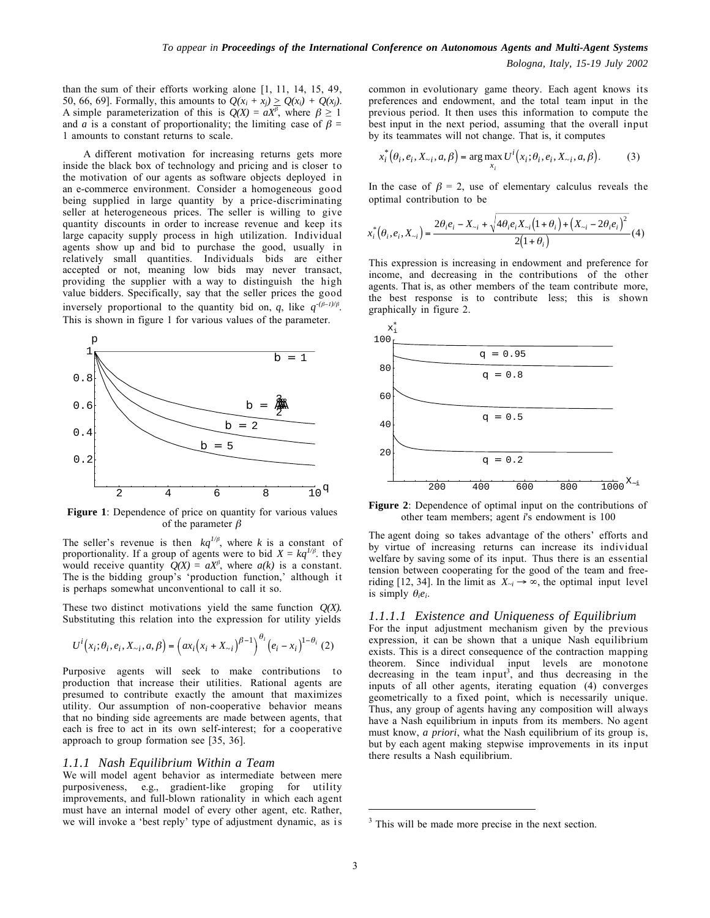than the sum of their efforts working alone [1, 11, 14, 15, 49, 50, 66, 69]. Formally, this amounts to  $Q(x_i + x_i) \ge Q(x_i) + Q(x_i)$ . A simple parameterization of this is  $Q(X) = aX^{\beta}$ , where  $\beta \ge 1$ and *a* is a constant of proportionality; the limiting case of  $\beta$  = 1 amounts to constant returns to scale.

A different motivation for increasing returns gets more inside the black box of technology and pricing and is closer to the motivation of our agents as software objects deployed in an e-commerce environment. Consider a homogeneous good being supplied in large quantity by a price-discriminating seller at heterogeneous prices. The seller is willing to give quantity discounts in order to increase revenue and keep its large capacity supply process in high utilization. Individual agents show up and bid to purchase the good, usually in relatively small quantities. Individuals bids are either accepted or not, meaning low bids may never transact, providing the supplier with a way to distinguish the high value bidders. Specifically, say that the seller prices the good inversely proportional to the quantity bid on, *q*, like  $q^{-(\beta-1)/\beta}$ . This is shown in figure 1 for various values of the parameter.



**Figure 1**: Dependence of price on quantity for various values of the parameter  $\beta$ 

The seller's revenue is then  $kq^{1/\beta}$ , where *k* is a constant of proportionality. If a group of agents were to bid  $X = kq^{1/\beta}$ , they would receive quantity  $Q(X) = aX^{\beta}$ , where  $a(k)$  is a constant. The is the bidding group's 'production function,' although it is perhaps somewhat unconventional to call it so.

These two distinct motivations yield the same function *Q(X).* Substituting this relation into the expression for utility yields

$$
U^{i}(x_{i};\theta_{i},e_{i},X_{-i},a,\beta) = (ax_{i}(x_{i} + X_{-i})^{\beta-1})^{\theta_{i}}(e_{i} - x_{i})^{1-\theta_{i}} (2)
$$

Purposive agents will seek to make contributions to production that increase their utilities. Rational agents are presumed to contribute exactly the amount that maximizes utility. Our assumption of non-cooperative behavior means that no binding side agreements are made between agents, that each is free to act in its own self-interest; for a cooperative approach to group formation see [35, 36].

#### *1.1.1 Nash Equilibrium Within a Team*

We will model agent behavior as intermediate between mere purposiveness, e.g., gradient-like groping for utility improvements, and full-blown rationality in which each agent must have an internal model of every other agent, etc. Rather, we will invoke a 'best reply' type of adjustment dynamic, as is

common in evolutionary game theory. Each agent knows its preferences and endowment, and the total team input in the previous period. It then uses this information to compute the best input in the next period, assuming that the overall input by its teammates will not change. That is, it computes

$$
x_i^* (\theta_i, e_i, X_{-i}, a, \beta) = \arg \max_{x_i} U^i (x_i; \theta_i, e_i, X_{-i}, a, \beta).
$$
 (3)

In the case of  $\beta = 2$ , use of elementary calculus reveals the optimal contribution to be

$$
x_i^* \left( \theta_i, e_i, X_{-i} \right) = \frac{2 \theta_i e_i - X_{-i} + \sqrt{4 \theta_i e_i X_{-i} \left( 1 + \theta_i \right) + \left( X_{-i} - 2 \theta_i e_i \right)^2}}{2 \left( 1 + \theta_i \right)} \tag{4}
$$

This expression is increasing in endowment and preference for income, and decreasing in the contributions of the other agents. That is, as other members of the team contribute more, the best response is to contribute less; this is shown graphically in figure 2.



**Figure 2**: Dependence of optimal input on the contributions of other team members; agent *i*'s endowment is 100

The agent doing so takes advantage of the others' efforts and by virtue of increasing returns can increase its individual welfare by saving some of its input. Thus there is an essential tension between cooperating for the good of the team and freeriding [12, 34]. In the limit as  $X_{-i} \rightarrow \infty$ , the optimal input level is simply  $\theta_i e_i$ .

#### *1.1.1.1 Existence and Uniqueness of Equilibrium*

For the input adjustment mechanism given by the previous expression, it can be shown that a unique Nash equilibrium exists. This is a direct consequence of the contraction mapping theorem. Since individual input levels are monotone decreasing in the team input<sup>3</sup>, and thus decreasing in the inputs of all other agents, iterating equation (4) converges geometrically to a fixed point, which is necessarily unique. Thus, any group of agents having any composition will always have a Nash equilibrium in inputs from its members. No agent must know, *a priori*, what the Nash equilibrium of its group is, but by each agent making stepwise improvements in its input there results a Nash equilibrium.

 $\overline{a}$ 

<sup>&</sup>lt;sup>3</sup> This will be made more precise in the next section.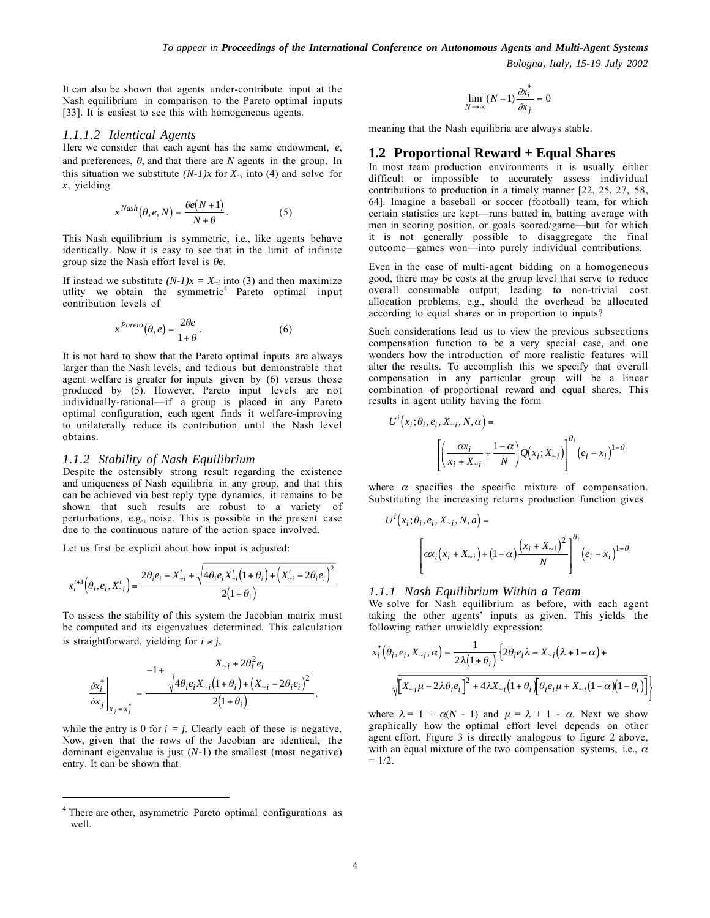It can also be shown that agents under-contribute input at the Nash equilibrium in comparison to the Pareto optimal inputs [33]. It is easiest to see this with homogeneous agents.

#### *1.1.1.2 Identical Agents*

Here we consider that each agent has the same endowment, *e*, and preferences,  $\theta$ , and that there are *N* agents in the group. In this situation we substitute  $(N-1)x$  for  $X_{-i}$  into (4) and solve for *x*, yielding

$$
x^{Nash}(\theta, e, N) = \frac{\theta e(N+1)}{N+\theta}.
$$
 (5)

This Nash equilibrium is symmetric, i.e., like agents behave identically. Now it is easy to see that in the limit of infinite group size the Nash effort level is θ*e*.

If instead we substitute  $(N-1)x = X_{-i}$  into (3) and then maximize utlity we obtain the symmetric<sup>4</sup> Pareto optimal input contribution levels of

$$
x^{Pareto}(\theta, e) = \frac{2\theta e}{1+\theta}.
$$
 (6)

It is not hard to show that the Pareto optimal inputs are always larger than the Nash levels, and tedious but demonstrable that agent welfare is greater for inputs given by (6) versus those produced by (5). However, Pareto input levels are not individually-rational—if a group is placed in any Pareto optimal configuration, each agent finds it welfare-improving to unilaterally reduce its contribution until the Nash level obtains.

#### *1.1.2 Stability of Nash Equilibrium*

Despite the ostensibly strong result regarding the existence and uniqueness of Nash equilibria in any group, and that this can be achieved via best reply type dynamics, it remains to be shown that such results are robust to a variety of perturbations, e.g., noise. This is possible in the present case due to the continuous nature of the action space involved.

Let us first be explicit about how input is adjusted:

$$
x_i^{t+1}(\theta_i, e_i, X_{-i}^t) = \frac{2\theta_i e_i - X_{-i}^t + \sqrt{4\theta_i e_i X_{-i}^t (1+\theta_i) + (X_{-i}^t - 2\theta_i e_i)^2}}{2(1+\theta_i)}
$$

To assess the stability of this system the Jacobian matrix must be computed and its eigenvalues determined. This calculation is straightforward, yielding for  $i \neq j$ ,

$$
\frac{\partial x_i^*}{\partial x_j}\Bigg|_{X_j = x_j^*} = \frac{-1 + \frac{X_{\sim i} + 2\theta_i^2 e_i}{\sqrt{4\theta_i e_i X_{\sim i} (1 + \theta_i) + (X_{\sim i} - 2\theta_i e_i)^2}}}{2(1 + \theta_i)},
$$

while the entry is 0 for  $i = j$ . Clearly each of these is negative. Now, given that the rows of the Jacobian are identical, the dominant eigenvalue is just (*N*-1) the smallest (most negative) entry. It can be shown that

 $\overline{a}$ 

$$
\lim_{N \to \infty} (N-1) \frac{\partial x_i^*}{\partial x_j} = 0
$$

meaning that the Nash equilibria are always stable.

## **1.2 Proportional Reward + Equal Shares**

In most team production environments it is usually either difficult or impossible to accurately assess individual contributions to production in a timely manner [22, 25, 27, 58, 64]. Imagine a baseball or soccer (football) team, for which certain statistics are kept—runs batted in, batting average with men in scoring position, or goals scored/game—but for which it is not generally possible to disaggregate the final outcome—games won—into purely individual contributions.

Even in the case of multi-agent bidding on a homogeneous good, there may be costs at the group level that serve to reduce overall consumable output, leading to non-trivial cost allocation problems, e.g., should the overhead be allocated according to equal shares or in proportion to inputs?

Such considerations lead us to view the previous subsections compensation function to be a very special case, and one wonders how the introduction of more realistic features will alter the results. To accomplish this we specify that overall compensation in any particular group will be a linear combination of proportional reward and equal shares. This results in agent utility having the form

$$
U^{i}(x_{i};\theta_{i},e_{i},X_{\sim i},N,\alpha) = \left[ \left( \frac{\alpha x_{i}}{x_{i} + X_{\sim i}} + \frac{1-\alpha}{N} \right) Q(x_{i};X_{\sim i}) \right]^{\theta_{i}} (e_{i} - x_{i})^{1-\theta_{i}}
$$

where  $\alpha$  specifies the specific mixture of compensation. Substituting the increasing returns production function gives

$$
U^{i}(x_{i}; \theta_{i}, e_{i}, X_{\sim i}, N, a) = \left[\alpha x_{i}(x_{i} + X_{\sim i}) + (1 - \alpha) \frac{(x_{i} + X_{\sim i})^{2}}{N}\right]^{\theta_{i}} (e_{i} - x_{i})^{1 - \theta_{i}}
$$

#### *1.1.1 Nash Equilibrium Within a Team*

We solve for Nash equilibrium as before, with each agent taking the other agents' inputs as given. This yields the following rather unwieldly expression:

$$
x_i^* \left(\theta_i, e_i, X_{\sim i}, \alpha\right) = \frac{1}{2\lambda \left(1 + \theta_i\right)} \left\{2\theta_i e_i \lambda - X_{\sim i} \left(\lambda + 1 - \alpha\right) + \sqrt{\left[X_{\sim i} \mu - 2\lambda \theta_i e_i\right]^2 + 4\lambda X_{\sim i} \left(1 + \theta_i\right) \left[\theta_i e_i \mu + X_{\sim i} \left(1 - \alpha\right) \left(1 - \theta_i\right)\right]}\right\}
$$

where  $\lambda = 1 + \alpha(N - 1)$  and  $\mu = \lambda + 1 - \alpha$ . Next we show graphically how the optimal effort level depends on other agent effort. Figure 3 is directly analogous to figure 2 above, with an equal mixture of the two compensation systems, i.e.,  $\alpha$  $= 1/2$ .

<sup>4</sup> There are other, asymmetric Pareto optimal configurations as well.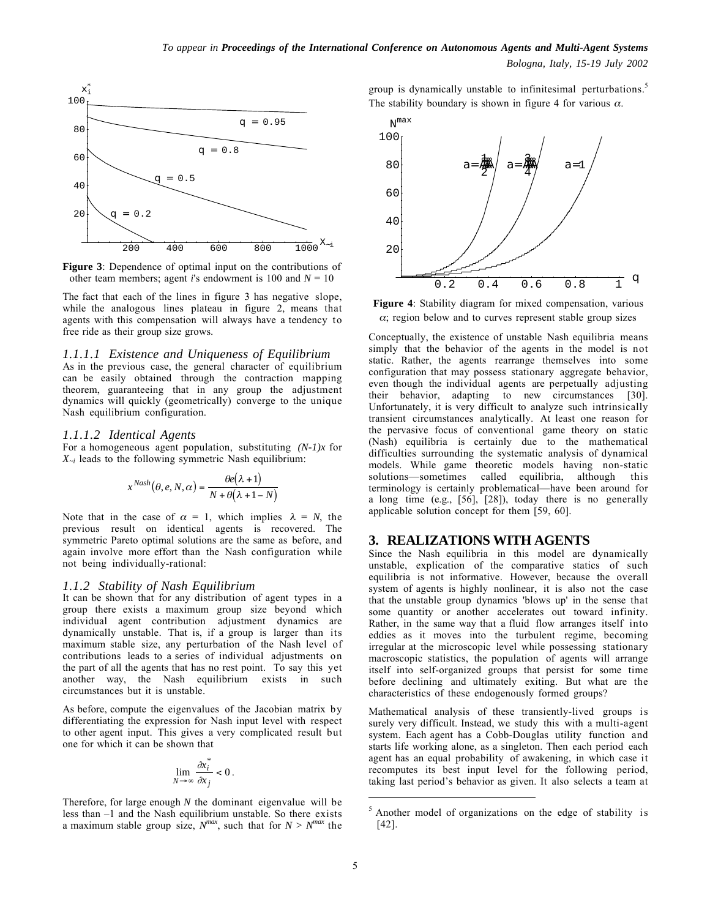

**Figure 3**: Dependence of optimal input on the contributions of other team members; agent *i*'s endowment is 100 and  $N = 10$ 

The fact that each of the lines in figure 3 has negative slope, while the analogous lines plateau in figure 2, means that agents with this compensation will always have a tendency to free ride as their group size grows.

#### *1.1.1.1 Existence and Uniqueness of Equilibrium*

As in the previous case, the general character of equilibrium can be easily obtained through the contraction mapping theorem, guaranteeing that in any group the adjustment dynamics will quickly (geometrically) converge to the unique Nash equilibrium configuration.

#### *1.1.1.2 Identical Agents*

For a homogeneous agent population, substituting *(N-1)x* for  $X_{-i}$  leads to the following symmetric Nash equilibrium:

$$
x^{Nash}(\theta, e, N, \alpha) = \frac{\theta e(\lambda + 1)}{N + \theta(\lambda + 1 - N)}
$$

Note that in the case of  $\alpha = 1$ , which implies  $\lambda = N$ , the previous result on identical agents is recovered. The symmetric Pareto optimal solutions are the same as before, and again involve more effort than the Nash configuration while not being individually-rational:

#### *1.1.2 Stability of Nash Equilibrium*

It can be shown that for any distribution of agent types in a group there exists a maximum group size beyond which individual agent contribution adjustment dynamics are dynamically unstable. That is, if a group is larger than its maximum stable size, any perturbation of the Nash level of contributions leads to a series of individual adjustments on the part of all the agents that has no rest point. To say this yet another way, the Nash equilibrium exists in such circumstances but it is unstable.

As before, compute the eigenvalues of the Jacobian matrix by differentiating the expression for Nash input level with respect to other agent input. This gives a very complicated result but one for which it can be shown that

$$
\lim_{N\to\infty}\frac{\partial x_i^*}{\partial x_j}<0\,.
$$

Therefore, for large enough *N* the dominant eigenvalue will be less than –1 and the Nash equilibrium unstable. So there exists a maximum stable group size,  $N^{max}$ , such that for  $N > N^{max}$  the group is dynamically unstable to infinitesimal perturbations.<sup>5</sup> The stability boundary is shown in figure 4 for various  $\alpha$ .



**Figure 4**: Stability diagram for mixed compensation, various  $\alpha$ ; region below and to curves represent stable group sizes

Conceptually, the existence of unstable Nash equilibria means simply that the behavior of the agents in the model is not static. Rather, the agents rearrange themselves into some configuration that may possess stationary aggregate behavior, even though the individual agents are perpetually adjusting their behavior, adapting to new circumstances [30]. Unfortunately, it is very difficult to analyze such intrinsically transient circumstances analytically. At least one reason for the pervasive focus of conventional game theory on static (Nash) equilibria is certainly due to the mathematical difficulties surrounding the systematic analysis of dynamical models. While game theoretic models having non-static solutions—sometimes called equilibria, although this terminology is certainly problematical—have been around for a long time (e.g., [56], [28]), today there is no generally applicable solution concept for them [59, 60].

#### **3. REALIZATIONS WITH AGENTS**

Since the Nash equilibria in this model are dynamically unstable, explication of the comparative statics of such equilibria is not informative. However, because the overall system of agents is highly nonlinear, it is also not the case that the unstable group dynamics 'blows up' in the sense that some quantity or another accelerates out toward infinity. Rather, in the same way that a fluid flow arranges itself into eddies as it moves into the turbulent regime, becoming irregular at the microscopic level while possessing stationary macroscopic statistics, the population of agents will arrange itself into self-organized groups that persist for some time before declining and ultimately exiting. But what are the characteristics of these endogenously formed groups?

Mathematical analysis of these transiently-lived groups is surely very difficult. Instead, we study this with a multi-agent system. Each agent has a Cobb-Douglas utility function and starts life working alone, as a singleton. Then each period each agent has an equal probability of awakening, in which case it recomputes its best input level for the following period, taking last period's behavior as given. It also selects a team at

 $\overline{a}$ 

<sup>5</sup> Another model of organizations on the edge of stability is [42].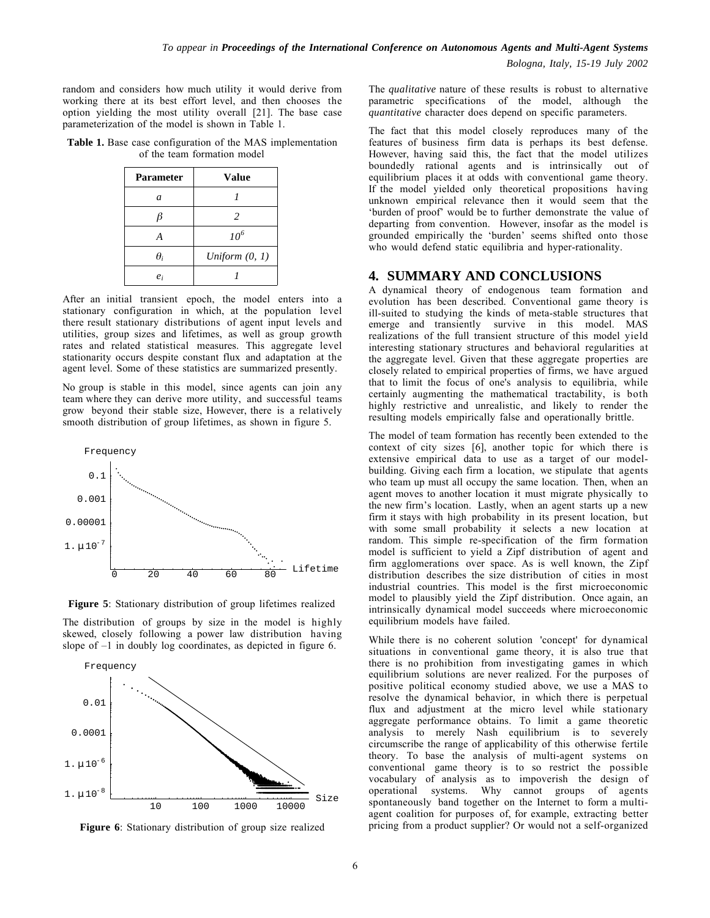*Bologna, Italy, 15-19 July 2002*

random and considers how much utility it would derive from working there at its best effort level, and then chooses the option yielding the most utility overall [21]. The base case parameterization of the model is shown in Table 1.

**Table 1.** Base case configuration of the MAS implementation of the team formation model

| <b>Parameter</b> | Value            |
|------------------|------------------|
| $\overline{a}$   |                  |
| β                | 2                |
| A                | 10 <sup>6</sup>  |
| $\theta_i$       | Uniform $(0, 1)$ |
| $e_i$            |                  |

After an initial transient epoch, the model enters into a stationary configuration in which, at the population level there result stationary distributions of agent input levels and utilities, group sizes and lifetimes, as well as group growth rates and related statistical measures. This aggregate level stationarity occurs despite constant flux and adaptation at the agent level. Some of these statistics are summarized presently.

No group is stable in this model, since agents can join any team where they can derive more utility, and successful teams grow beyond their stable size, However, there is a relatively smooth distribution of group lifetimes, as shown in figure 5.



**Figure 5**: Stationary distribution of group lifetimes realized

The distribution of groups by size in the model is highly skewed, closely following a power law distribution having slope of –1 in doubly log coordinates, as depicted in figure 6.



**Figure 6**: Stationary distribution of group size realized

The *qualitative* nature of these results is robust to alternative parametric specifications of the model, although the *quantitative* character does depend on specific parameters.

The fact that this model closely reproduces many of the features of business firm data is perhaps its best defense. However, having said this, the fact that the model utilizes boundedly rational agents and is intrinsically out of equilibrium places it at odds with conventional game theory. If the model yielded only theoretical propositions having unknown empirical relevance then it would seem that the 'burden of proof' would be to further demonstrate the value of departing from convention. However, insofar as the model is grounded empirically the 'burden' seems shifted onto those who would defend static equilibria and hyper-rationality.

# **4. SUMMARY AND CONCLUSIONS**

A dynamical theory of endogenous team formation and evolution has been described. Conventional game theory is ill-suited to studying the kinds of meta-stable structures that emerge and transiently survive in this model. MAS realizations of the full transient structure of this model yield interesting stationary structures and behavioral regularities at the aggregate level. Given that these aggregate properties are closely related to empirical properties of firms, we have argued that to limit the focus of one's analysis to equilibria, while certainly augmenting the mathematical tractability, is both highly restrictive and unrealistic, and likely to render the resulting models empirically false and operationally brittle.

The model of team formation has recently been extended to the context of city sizes [6], another topic for which there is extensive empirical data to use as a target of our modelbuilding. Giving each firm a location, we stipulate that agents who team up must all occupy the same location. Then, when an agent moves to another location it must migrate physically to the new firm's location. Lastly, when an agent starts up a new firm it stays with high probability in its present location, but with some small probability it selects a new location at random. This simple re-specification of the firm formation model is sufficient to yield a Zipf distribution of agent and firm agglomerations over space. As is well known, the Zipf distribution describes the size distribution of cities in most industrial countries. This model is the first microeconomic model to plausibly yield the Zipf distribution. Once again, an intrinsically dynamical model succeeds where microeconomic equilibrium models have failed.

While there is no coherent solution 'concept' for dynamical situations in conventional game theory, it is also true that there is no prohibition from investigating games in which equilibrium solutions are never realized. For the purposes of positive political economy studied above, we use a MAS to resolve the dynamical behavior, in which there is perpetual flux and adjustment at the micro level while stationary aggregate performance obtains. To limit a game theoretic analysis to merely Nash equilibrium is to severely circumscribe the range of applicability of this otherwise fertile theory. To base the analysis of multi-agent systems on conventional game theory is to so restrict the possible vocabulary of analysis as to impoverish the design of systems. Why cannot groups of agents spontaneously band together on the Internet to form a multiagent coalition for purposes of, for example, extracting better pricing from a product supplier? Or would not a self-organized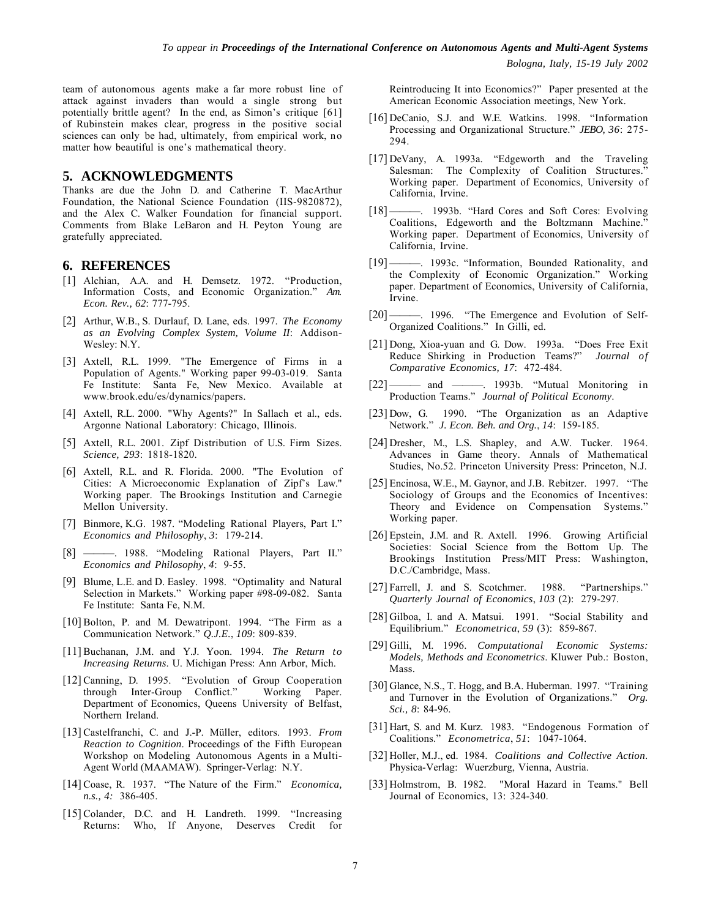team of autonomous agents make a far more robust line of attack against invaders than would a single strong but potentially brittle agent? In the end, as Simon's critique [61] of Rubinstein makes clear, progress in the positive social sciences can only be had, ultimately, from empirical work, no matter how beautiful is one's mathematical theory.

### **5. ACKNOWLEDGMENTS**

Thanks are due the John D. and Catherine T. MacArthur Foundation, the National Science Foundation (IIS-9820872), and the Alex C. Walker Foundation for financial support. Comments from Blake LeBaron and H. Peyton Young are gratefully appreciated.

## **6. REFERENCES**

- [1] Alchian, A.A. and H. Demsetz. 1972. "Production, Information Costs, and Economic Organization." *Am. Econ. Rev., 62*: 777-795.
- [2] Arthur, W.B., S. Durlauf, D. Lane, eds. 1997. *The Economy as an Evolving Complex System, Volume II*: Addison-Wesley: N.Y.
- [3] Axtell, R.L. 1999. "The Emergence of Firms in a Population of Agents." Working paper 99-03-019. Santa Fe Institute: Santa Fe, New Mexico. Available at www.brook.edu/es/dynamics/papers.
- [4] Axtell, R.L. 2000. "Why Agents?" In Sallach et al., eds. Argonne National Laboratory: Chicago, Illinois.
- [5] Axtell, R.L. 2001. Zipf Distribution of U.S. Firm Sizes. *Science, 293*: 1818-1820.
- [6] Axtell, R.L. and R. Florida. 2000. "The Evolution of Cities: A Microeconomic Explanation of Zipf's Law." Working paper. The Brookings Institution and Carnegie Mellon University.
- [7] Binmore, K.G. 1987. "Modeling Rational Players, Part I." *Economics and Philosophy*, *3*: 179-214.
- [8] ———. 1988. "Modeling Rational Players, Part II." *Economics and Philosophy*, *4*: 9-55.
- [9] Blume, L.E. and D. Easley. 1998. "Optimality and Natural Selection in Markets." Working paper #98-09-082. Santa Fe Institute: Santa Fe, N.M.
- [10] Bolton, P. and M. Dewatripont. 1994. "The Firm as a Communication Network." *Q.J.E.*, *109*: 809-839.
- [11] Buchanan, J.M. and Y.J. Yoon. 1994. *The Return to Increasing Returns*. U. Michigan Press: Ann Arbor, Mich.
- [12] Canning, D. 1995. "Evolution of Group Cooperation through Inter-Group Conflict." Working Paper. Department of Economics, Queens University of Belfast, Northern Ireland.
- [13] Castelfranchi, C. and J.-P. Müller, editors. 1993. *From Reaction to Cognition*. Proceedings of the Fifth European Workshop on Modeling Autonomous Agents in a Multi-Agent World (MAAMAW). Springer-Verlag: N.Y.
- [14] Coase, R. 1937. "The Nature of the Firm." *Economica, n.s., 4:* 386-405.
- [15] Colander, D.C. and H. Landreth. 1999. "Increasing Returns: Who, If Anyone, Deserves Credit for

Reintroducing It into Economics?" Paper presented at the American Economic Association meetings, New York.

- [16] DeCanio, S.J. and W.E. Watkins. 1998. "Information Processing and Organizational Structure." *JEBO, 36*: 275- 294.
- [17] DeVany, A. 1993a. "Edgeworth and the Traveling Salesman: The Complexity of Coalition Structures. Working paper. Department of Economics, University of California, Irvine.
- [18] ———. 1993b. "Hard Cores and Soft Cores: Evolving Coalitions, Edgeworth and the Boltzmann Machine.' Working paper. Department of Economics, University of California, Irvine.
- [19] --------. 1993c. "Information, Bounded Rationality, and the Complexity of Economic Organization." Working paper. Department of Economics, University of California, Irvine.
- [20] ———. 1996. "The Emergence and Evolution of Self-Organized Coalitions." In Gilli, ed.
- [21] Dong, Xioa-yuan and G. Dow. 1993a. "Does Free Exit Reduce Shirking in Production Teams?" *Journal of Comparative Economics, 17*: 472-484.
- [22] ——— and ———. 1993b. "Mutual Monitoring in Production Teams." *Journal of Political Economy*.
- [23] Dow, G. 1990. "The Organization as an Adaptive Network." *J. Econ. Beh. and Org.*, *14*: 159-185.
- [24] Dresher, M., L.S. Shapley, and A.W. Tucker. 1964. Advances in Game theory. Annals of Mathematical Studies, No.52. Princeton University Press: Princeton, N.J.
- [25] Encinosa, W.E., M. Gaynor, and J.B. Rebitzer. 1997. "The Sociology of Groups and the Economics of Incentives: Theory and Evidence on Compensation Systems." Working paper.
- [26] Epstein, J.M. and R. Axtell. 1996. Growing Artificial Societies: Social Science from the Bottom Up. The Brookings Institution Press/MIT Press: Washington, D.C./Cambridge, Mass.
- [27] Farrell, J. and S. Scotchmer. 1988. "Partnerships." *Quarterly Journal of Economics*, *103* (2): 279-297.
- [28] Gilboa, I. and A. Matsui. 1991. "Social Stability and Equilibrium." *Econometrica*, *59* (3): 859-867.
- [29] Gilli, M. 1996. *Computational Economic Systems: Models, Methods and Econometrics*. Kluwer Pub.: Boston, Mass.
- [30] Glance, N.S., T. Hogg, and B.A. Huberman. 1997. "Training and Turnover in the Evolution of Organizations." *Org. Sci., 8*: 84-96.
- [31] Hart, S. and M. Kurz. 1983. "Endogenous Formation of Coalitions." *Econometrica*, *51*: 1047-1064.
- [32] Holler, M.J., ed. 1984. *Coalitions and Collective Action*. Physica-Verlag: Wuerzburg, Vienna, Austria.
- [33] Holmstrom, B. 1982. "Moral Hazard in Teams." Bell Journal of Economics, 13: 324-340.